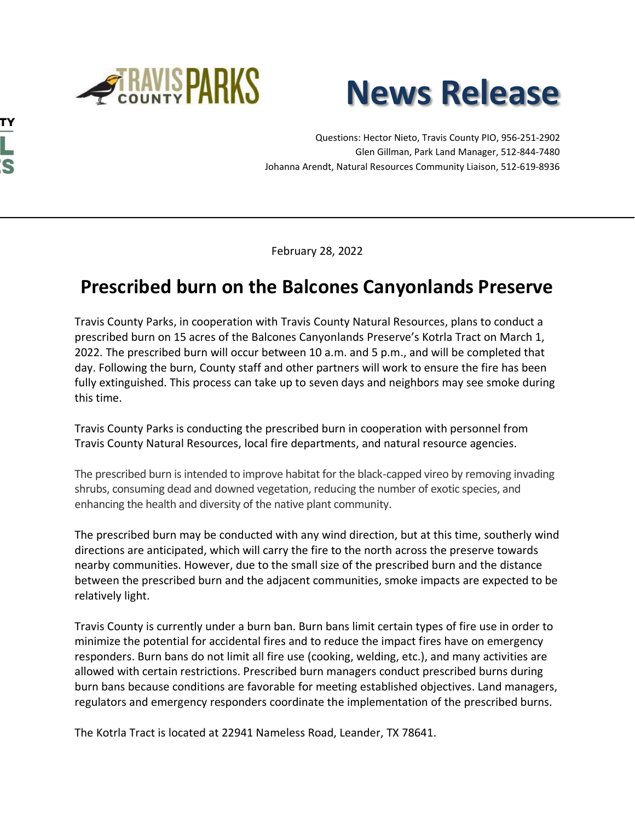

**TY** 

**L :s** 



Questions: Hector Nieto, Travis County PIO, 956-251-2902 Glen Gillman, Park Land Manager, 512-844-7480 Johanna Arendt, Natural Resources Community Liaison, 512-619-8936

February 28, 2022

## **Prescribed burn on the Balcones Canyonlands Preserve**

Travis County Parks, in cooperation with Travis County Natural Resources, plans to conduct a prescribed burn on 15 acres of the Balcones Canyonlands Preserve's Kotrla Tract on March 1, 2022. The prescribed burn will occur between 10 a.m. and 5 p.m., and will be completed that day. Following the burn, County staff and other partners will work to ensure the fire has been fully extinguished. This process can take up to seven days and neighbors may see smoke during this time.

Travis County Parks is conducting the prescribed burn in cooperation with personnel from Travis County Natural Resources, local fire departments, and natural resource agencies.

The prescribed burn is intended to improve habitat for the black-capped vireo by removing invading shrubs, consuming dead and downed vegetation, reducing the number of exotic species, and enhancing the health and diversity of the native plant community.

The prescribed burn may be conducted with any wind direction, but at this time, southerly wind directions are anticipated, which will carry the fire to the north across the preserve towards nearby communities. However, due to the small size of the prescribed burn and the distance between the prescribed burn and the adjacent communities, smoke impacts are expected to be relatively light.

Travis County is currently under a burn ban. Burn bans limit certain types of fire use in order to minimize the potential for accidental fires and to reduce the impact fires have on emergency responders. Burn bans do not limit all fire use (cooking, welding, etc.), and many activities are allowed with certain restrictions. Prescribed burn managers conduct prescribed burns during burn bans because conditions are favorable for meeting established objectives. Land managers, regulators and emergency responders coordinate the implementation of the prescribed burns.

The Kotrla Tract is located at 22941 Nameless Road, Leander, TX 78641.